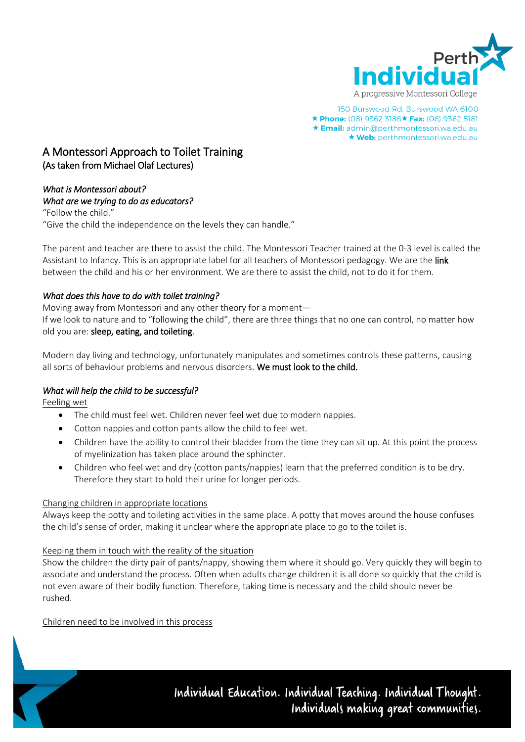

150 Burswood Rd, Burswood WA 6100 ★ Phone: (08) 9362 3186★ Fax: (08) 9362 5181 \* Email: admin@perthmontessori.wa.edu.au \* Web: perthmontessori.wa.edu.au

## A Montessori Approach to Toilet Training (As taken from Michael Olaf Lectures)

# *What is Montessori about?*

#### *What are we trying to do as educators?*

"Follow the child." "Give the child the independence on the levels they can handle."

The parent and teacher are there to assist the child. The Montessori Teacher trained at the 0-3 level is called the Assistant to Infancy. This is an appropriate label for all teachers of Montessori pedagogy. We are the link between the child and his or her environment. We are there to assist the child, not to do it for them.

## *What does this have to do with toilet training?*

Moving away from Montessori and any other theory for a moment—

If we look to nature and to "following the child", there are three things that no one can control, no matter how old you are: sleep, eating, and toileting.

Modern day living and technology, unfortunately manipulates and sometimes controls these patterns, causing all sorts of behaviour problems and nervous disorders. We must look to the child.

## *What will help the child to be successful?*

Feeling wet

- The child must feel wet. Children never feel wet due to modern nappies.
- Cotton nappies and cotton pants allow the child to feel wet.
- Children have the ability to control their bladder from the time they can sit up. At this point the process of myelinization has taken place around the sphincter.
- Children who feel wet and dry (cotton pants/nappies) learn that the preferred condition is to be dry. Therefore they start to hold their urine for longer periods.

## Changing children in appropriate locations

Always keep the potty and toileting activities in the same place. A potty that moves around the house confuses the child's sense of order, making it unclear where the appropriate place to go to the toilet is.

## Keeping them in touch with the reality of the situation

Show the children the dirty pair of pants/nappy, showing them where it should go. Very quickly they will begin to associate and understand the process. Often when adults change children it is all done so quickly that the child is not even aware of their bodily function. Therefore, taking time is necessary and the child should never be rushed.

## Children need to be involved in this process

Individual Education. Individual Teaching. Individual Thought. Individuals making great communifies.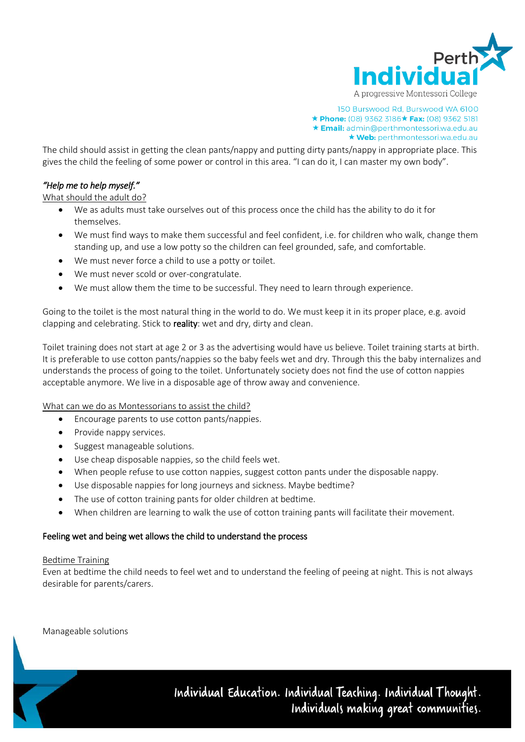

150 Burswood Rd, Burswood WA 6100 ★ Phone: (08) 9362 3186★ Fax: (08) 9362 5181 ★ Email: admin@perthmontessori.wa.edu.au \* Web: perthmontessori.wa.edu.au

The child should assist in getting the clean pants/nappy and putting dirty pants/nappy in appropriate place. This gives the child the feeling of some power or control in this area. "I can do it, I can master my own body".

## *"Help me to help myself."*

What should the adult do?

- We as adults must take ourselves out of this process once the child has the ability to do it for themselves.
- We must find ways to make them successful and feel confident, i.e. for children who walk, change them standing up, and use a low potty so the children can feel grounded, safe, and comfortable.
- We must never force a child to use a potty or toilet.
- We must never scold or over-congratulate.
- We must allow them the time to be successful. They need to learn through experience.

Going to the toilet is the most natural thing in the world to do. We must keep it in its proper place, e.g. avoid clapping and celebrating. Stick to reality: wet and dry, dirty and clean.

Toilet training does not start at age 2 or 3 as the advertising would have us believe. Toilet training starts at birth. It is preferable to use cotton pants/nappies so the baby feels wet and dry. Through this the baby internalizes and understands the process of going to the toilet. Unfortunately society does not find the use of cotton nappies acceptable anymore. We live in a disposable age of throw away and convenience.

#### What can we do as Montessorians to assist the child?

- Encourage parents to use cotton pants/nappies.
- Provide nappy services.
- Suggest manageable solutions.
- Use cheap disposable nappies, so the child feels wet.
- When people refuse to use cotton nappies, suggest cotton pants under the disposable nappy.
- Use disposable nappies for long journeys and sickness. Maybe bedtime?
- The use of cotton training pants for older children at bedtime.
- When children are learning to walk the use of cotton training pants will facilitate their movement.

#### Feeling wet and being wet allows the child to understand the process

#### Bedtime Training

Even at bedtime the child needs to feel wet and to understand the feeling of peeing at night. This is not always desirable for parents/carers.

Manageable solutions